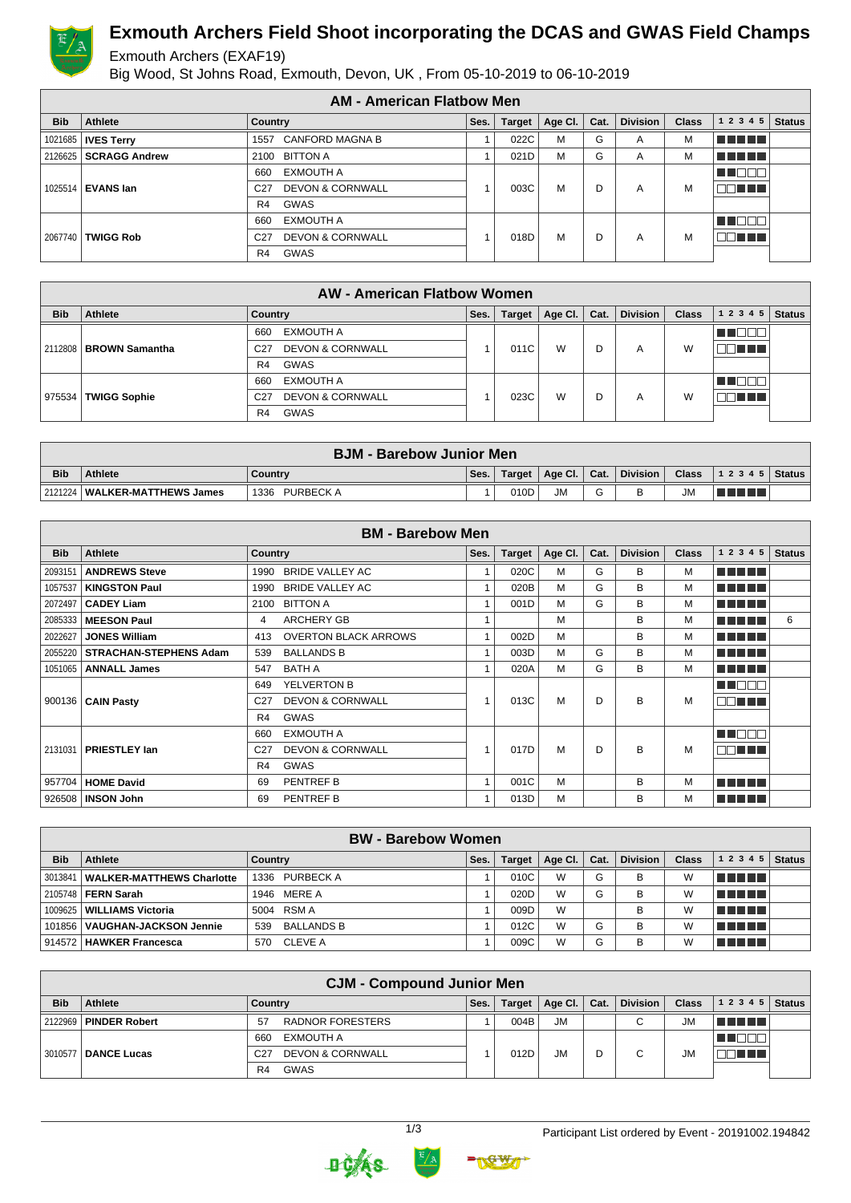

# **Exmouth Archers Field Shoot incorporating the DCAS and GWAS Field Champs**

#### Exmouth Archers (EXAF19)

Big Wood, St Johns Road, Exmouth, Devon, UK , From 05-10-2019 to 06-10-2019

|            |                             | <b>AM - American Flatbow Men</b>               |      |               |         |      |                 |              |            |               |
|------------|-----------------------------|------------------------------------------------|------|---------------|---------|------|-----------------|--------------|------------|---------------|
| <b>Bib</b> | Athlete                     | <b>Country</b>                                 | Ses. | <b>Target</b> | Age CI. | Cat. | <b>Division</b> | <b>Class</b> | 1 2 3 4 5  | <b>Status</b> |
|            | 1021685   <b>IVES Terry</b> | CANFORD MAGNA B<br>1557                        |      | 022C          | M       | G    | A               | M            | 100 M M M  |               |
|            | 2126625   SCRAGG Andrew     | 2100 BITTON A                                  |      | 021D          | М       | G    | A               | М            | TE E E E   |               |
|            |                             | <b>EXMOUTH A</b><br>660                        |      |               |         |      |                 |              | T E E C    |               |
|            | 1025514   EVANS Ian         | <b>DEVON &amp; CORNWALL</b><br>C <sub>27</sub> |      | 003C          | M       | D    | A               | М            | TELET      |               |
|            |                             | GWAS<br>R4                                     |      |               |         |      |                 |              |            |               |
|            |                             | <b>EXMOUTH A</b><br>660                        |      |               |         |      |                 |              | T F E E I  |               |
| 2067740    | <b>TWIGG Rob</b>            | <b>DEVON &amp; CORNWALL</b><br>C <sub>27</sub> |      | 018D          | M       | D    | A               | М            | 30 N N N 1 |               |
|            |                             | GWAS<br>R <sub>4</sub>                         |      |               |         |      |                 |              |            |               |

|            |                          | <b>AW - American Flatbow Women</b>             |      |               |                 |      |                 |              |           |               |
|------------|--------------------------|------------------------------------------------|------|---------------|-----------------|------|-----------------|--------------|-----------|---------------|
| <b>Bib</b> | <b>Athlete</b>           | Country                                        | Ses. | <b>Target</b> | Age Cl. $\vert$ | Cat. | <b>Division</b> | <b>Class</b> | 1 2 3 4 5 | <b>Status</b> |
|            |                          | EXMOUTH A<br>660                               |      |               |                 |      |                 |              |           |               |
|            | 2112808   BROWN Samantha | <b>DEVON &amp; CORNWALL</b><br>C <sub>27</sub> |      | 011C          | W               | D    | A               | W            | n di s    |               |
|            |                          | <b>GWAS</b><br>R4                              |      |               |                 |      |                 |              |           |               |
|            |                          | EXMOUTH A<br>660                               |      |               |                 |      |                 |              |           |               |
| 975534     | <b>TWIGG Sophie</b>      | <b>DEVON &amp; CORNWALL</b><br>C <sub>27</sub> |      | 023C          | W               | D    | A               | W            | 70 O O    |               |
|            |                          | GWAS<br>R4                                     |      |               |                 |      |                 |              |           |               |

|            | <b>BJM - Barebow Junior Men</b> |                          |      |      |                         |        |          |              |                  |  |
|------------|---------------------------------|--------------------------|------|------|-------------------------|--------|----------|--------------|------------------|--|
| <b>Bib</b> | <b>Athlete</b>                  | <b>Country</b>           | Ses. |      | Target   Age Cl.   Cat. |        | Division | <b>Class</b> | $ 12345 $ Status |  |
|            | 2121224   WALKER-MATTHEWS James | <b>PURBECK A</b><br>1336 |      | 010D | <b>JM</b>               | $\sim$ |          | <b>JM</b>    | VIII.            |  |

|            |                               |                 | <b>BM - Barebow Men</b>     |                |               |         |      |                 |              |               |               |
|------------|-------------------------------|-----------------|-----------------------------|----------------|---------------|---------|------|-----------------|--------------|---------------|---------------|
| <b>Bib</b> | Athlete                       | <b>Country</b>  |                             | Ses.           | <b>Target</b> | Age Cl. | Cat. | <b>Division</b> | <b>Class</b> | 1 2 3 4 5     | <b>Status</b> |
| 2093151    | <b>ANDREWS Steve</b>          | 1990            | <b>BRIDE VALLEY AC</b>      |                | 020C          | M       | G    | B               | М            | n na mar      |               |
| 1057537    | <b>KINGSTON Paul</b>          | 1990            | <b>BRIDE VALLEY AC</b>      | 1              | 020B          | M       | G    | B               | М            | n na mar      |               |
| 2072497    | <b>CADEY Liam</b>             | 2100            | <b>BITTON A</b>             | $\mathbf{1}$   | 001D          | M       | G    | В               | М            | n din din b   |               |
| 2085333    | <b>MEESON Paul</b>            | 4               | <b>ARCHERY GB</b>           | 1              |               | M       |      | B               | м            | n din bin     | 6             |
| 2022627    | <b>JONES William</b>          | 413             | <b>OVERTON BLACK ARROWS</b> | 1              | 002D          | M       |      | B               | M            | n din bir     |               |
| 2055220    | <b>STRACHAN-STEPHENS Adam</b> | 539             | <b>BALLANDS B</b>           | 1              | 003D          | M       | G    | B               | м            | n din bin     |               |
| 1051065    | <b>ANNALL James</b>           | 547             | <b>BATH A</b>               | 1              | 020A          | M       | G    | B               | М            | n din din     |               |
|            |                               | 649             | YELVERTON B                 |                |               |         |      |                 |              | N NO BIB      |               |
|            | 900136   CAIN Pasty           | C <sub>27</sub> | <b>DEVON &amp; CORNWALL</b> |                | 013C          | M       | D    | B               | М            | 88 E E E      |               |
|            |                               | R4              | <b>GWAS</b>                 |                |               |         |      |                 |              |               |               |
|            |                               | 660             | <b>EXMOUTH A</b>            |                |               |         |      |                 |              | <b>READER</b> |               |
| 2131031    | <b>PRIESTLEY Ian</b>          | C <sub>27</sub> | <b>DEVON &amp; CORNWALL</b> | 1              | 017D          | M       | D    | B               | м            | nn nn a       |               |
|            |                               | R4              | <b>GWAS</b>                 |                |               |         |      |                 |              |               |               |
| 957704     | <b>HOME David</b>             | 69              | PENTREF B                   | $\overline{1}$ | 001C          | M       |      | B               | M            | n din bir     |               |
|            | 926508   INSON John           | 69              | PENTREF B                   | 1              | 013D          | M       |      | B               | М            | n na mpia     |               |

|            | <b>BW</b> - Barebow Women        |                          |      |               |                 |      |                 |              |             |               |  |
|------------|----------------------------------|--------------------------|------|---------------|-----------------|------|-----------------|--------------|-------------|---------------|--|
| <b>Bib</b> | <b>Athlete</b>                   | Country                  | Ses. | <b>Target</b> | Age Cl. $\vert$ | Cat. | <b>Division</b> | <b>Class</b> | 1 2 3 4 5   | <b>Status</b> |  |
| 3013841    | <b>WALKER-MATTHEWS Charlotte</b> | 1336 PURBECK A           |      | 010C          | W               | G    | В               | W            | l Titolin T |               |  |
|            | 2105748 <b>FERN Sarah</b>        | 1946 MERE A              |      | 020D          | W               | G    | B               | W            | l Titolin T |               |  |
|            | 1009625   WILLIAMS Victoria      | 5004 RSM A               |      | 009D          | W               |      | B               | W            | le en en el |               |  |
|            | 101856   VAUGHAN-JACKSON Jennie  | <b>BALLANDS B</b><br>539 |      | 012C          | W               | G    | B               | W            | le en en el |               |  |
|            | 914572   HAWKER Francesca        | <b>CLEVE A</b><br>570    |      | 009C          | W               | G    | В               | W            | TI TI TI TI |               |  |

|            |                      | <b>CJM - Compound Junior Men</b>               |      |               |           |      |                 |           |           |               |
|------------|----------------------|------------------------------------------------|------|---------------|-----------|------|-----------------|-----------|-----------|---------------|
| <b>Bib</b> | Athlete              | Country                                        | Ses. | <b>Target</b> | Age Cl.   | Cat. | <b>Division</b> | Class     | 1 2 3 4 5 | <b>Status</b> |
| 2122969    | <b>PINDER Robert</b> | RADNOR FORESTERS<br>57                         |      | 004B          | <b>JM</b> |      | С               | <b>JM</b> | T FIFTI T |               |
|            |                      | <b>EXMOUTH A</b><br>660                        |      |               |           |      |                 |           |           |               |
| 3010577    | <b>DANCE Lucas</b>   | <b>DEVON &amp; CORNWALL</b><br>C <sub>27</sub> |      | 012D          | <b>JM</b> | D    | C               | <b>JM</b> | TITI TITI |               |
|            |                      | <b>GWAS</b><br>R4                              |      |               |           |      |                 |           |           |               |



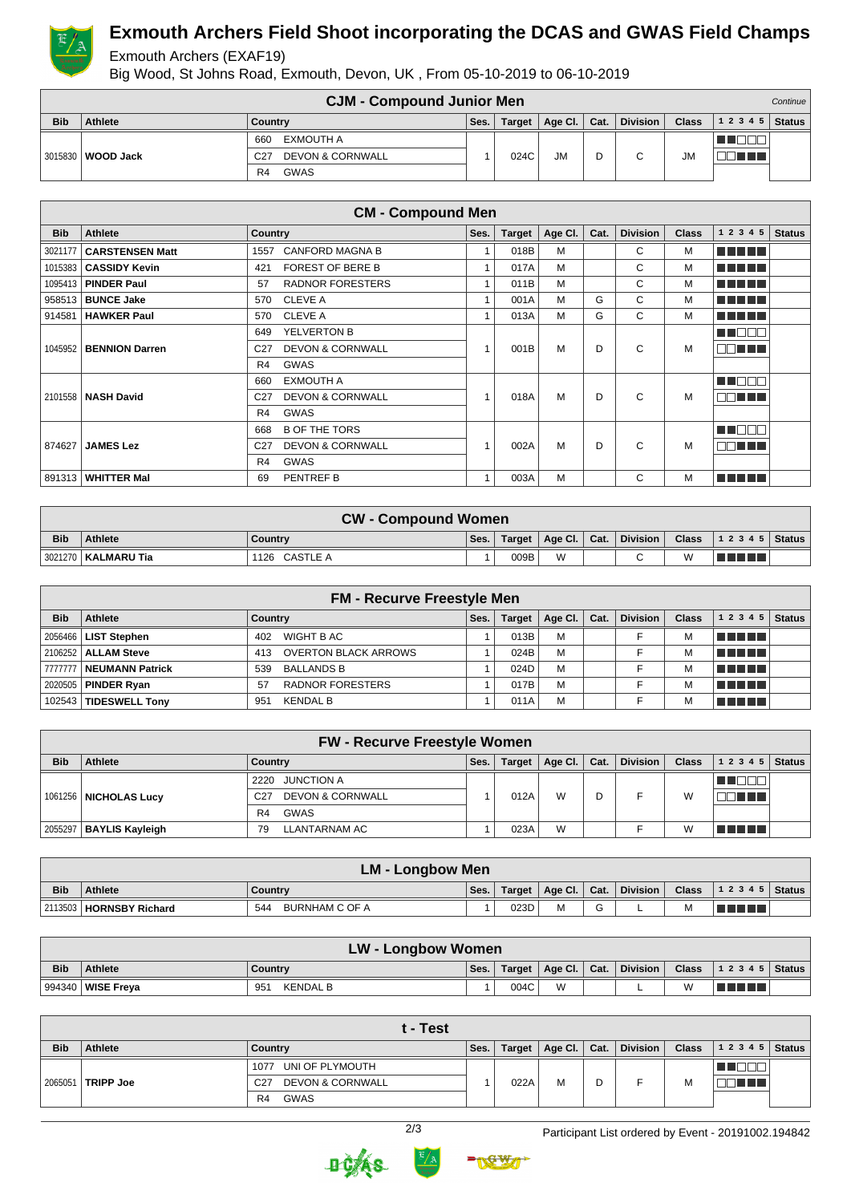

### **Exmouth Archers Field Shoot incorporating the DCAS and GWAS Field Champs**

#### Exmouth Archers (EXAF19)

Big Wood, St Johns Road, Exmouth, Devon, UK , From 05-10-2019 to 06-10-2019

|            |           | <b>CJM - Compound Junior Men</b>               |      |               |             |      |                 |              |       | Continue      |
|------------|-----------|------------------------------------------------|------|---------------|-------------|------|-----------------|--------------|-------|---------------|
| <b>Bib</b> | Athlete   | Country                                        | Ses. | <b>Target</b> | Age Cl. $ $ | Cat. | <b>Division</b> | <b>Class</b> | 12345 | <b>Status</b> |
|            |           | EXMOUTH A<br>66 <sub>C</sub>                   |      |               |             |      |                 |              |       |               |
| 3015830    | WOOD Jack | <b>DEVON &amp; CORNWALL</b><br>C <sub>27</sub> |      | 024C          | <b>JM</b>   |      | $\sim$          | <b>JM</b>    |       |               |
|            |           | GWAS<br>R4                                     |      |               |             |      |                 |              |       |               |

|            |                        | <b>CM - Compound Men</b>                       |                |               |         |      |                 |              |                 |               |
|------------|------------------------|------------------------------------------------|----------------|---------------|---------|------|-----------------|--------------|-----------------|---------------|
| <b>Bib</b> | Athlete                | <b>Country</b>                                 | Ses.           | <b>Target</b> | Age Cl. | Cat. | <b>Division</b> | <b>Class</b> | 1 2 3 4 5       | <b>Status</b> |
| 3021177    | <b>CARSTENSEN Matt</b> | <b>CANFORD MAGNA B</b><br>1557                 | $\overline{A}$ | 018B          | M       |      | C               | М            | n din bin       |               |
| 1015383    | <b>CASSIDY Kevin</b>   | FOREST OF BERE B<br>421                        | 1              | 017A          | M       |      | C               | M            | n din bin       |               |
| 1095413    | <b>PINDER Paul</b>     | <b>RADNOR FORESTERS</b><br>57                  | $\overline{1}$ | 011B          | M       |      | C               | M            | n din bin       |               |
| 958513     | <b>BUNCE Jake</b>      | <b>CLEVE A</b><br>570                          | 1              | 001A          | M       | G    | C               | м            | n din bin       |               |
| 914581     | <b>HAWKER Paul</b>     | <b>CLEVE A</b><br>570                          | $\overline{A}$ | 013A          | M       | G    | C               | M            | n din bir       |               |
|            |                        | YELVERTON B<br>649                             |                |               |         |      |                 |              | M DER           |               |
| 1045952    | <b>BENNION Darren</b>  | <b>DEVON &amp; CORNWALL</b><br>C <sub>27</sub> | $\overline{A}$ | 001B          | M       | D    | C               | M            | nn nn n         |               |
|            |                        | <b>GWAS</b><br>R4                              |                |               |         |      |                 |              |                 |               |
|            |                        | <b>EXMOUTH A</b><br>660                        |                |               |         |      |                 |              | MU OOO          |               |
|            | 2101558   NASH David   | <b>DEVON &amp; CORNWALL</b><br>C <sub>27</sub> |                | 018A          | M       | D    | C               | м            | <b>REDEEN</b>   |               |
|            |                        | <b>GWAS</b><br>R4                              |                |               |         |      |                 |              |                 |               |
|            |                        | <b>B OF THE TORS</b><br>668                    |                |               |         |      |                 |              | n na man        |               |
| 874627     | <b>JAMES Lez</b>       | <b>DEVON &amp; CORNWALL</b><br>C <sub>27</sub> |                | 002A          | M       | D    | C               | M            | <b>RADIO DE</b> |               |
|            |                        | <b>GWAS</b><br>R4                              |                |               |         |      |                 |              |                 |               |
| 891313     | <b>WHITTER Mal</b>     | PENTREF B<br>69                                | 1              | 003A          | M       |      | C               | M            | n din din       |               |

|            | <b>CW - Compound Women</b> |               |      |      |                         |  |        |  |                                       |  |
|------------|----------------------------|---------------|------|------|-------------------------|--|--------|--|---------------------------------------|--|
| <b>Bib</b> | Athlete                    | Country       | Ses. |      | Target   Age Cl.   Cat. |  |        |  | Division   Class   1 2 3 4 5   Status |  |
|            | 3021270   KALMARU Tia      | 1126 CASTLE A |      | 009B | W                       |  | $\sim$ |  | T FI FI FI                            |  |

|            |                         | <b>FM - Recurve Freestyle Men</b>  |      |               |                 |      |          |              |                |  |
|------------|-------------------------|------------------------------------|------|---------------|-----------------|------|----------|--------------|----------------|--|
| <b>Bib</b> | Athlete                 | Country                            | Ses. | <b>Target</b> | Age Cl. $\vert$ | Cat. | Division | <b>Class</b> | $12345$ Status |  |
|            | 2056466   LIST Stephen  | WIGHT B AC<br>402                  |      | 013B          | M               |      |          |              | l manarat      |  |
|            | 2106252   ALLAM Steve   | <b>OVERTON BLACK ARROWS</b><br>413 |      | 024B          | M               |      |          |              | l Timo de la   |  |
|            | 7777777 NEUMANN Patrick | <b>BALLANDS B</b><br>539           |      | 024D          | M               |      |          | М            | l Timo de la   |  |
|            | 2020505   PINDER Ryan   | <b>RADNOR FORESTERS</b><br>57      |      | 017B          | M               |      |          |              | l Timo de la   |  |
|            | 102543 TIDESWELL Tony   | <b>KENDAL B</b><br>951             |      | 011A          | M               |      |          |              | T FIFITI       |  |

|            | <b>FW - Recurve Freestyle Women</b> |                                                |      |        |         |      |                 |              |              |               |  |
|------------|-------------------------------------|------------------------------------------------|------|--------|---------|------|-----------------|--------------|--------------|---------------|--|
| <b>Bib</b> | <b>Athlete</b>                      | Country                                        | Ses. | Target | Age Cl. | Cat. | <b>Division</b> | <b>Class</b> | 1 2 3 4 5    | <b>Status</b> |  |
|            |                                     | <b>JUNCTION A</b><br>2220                      |      |        |         |      |                 |              |              |               |  |
|            | 1061256   NICHOLAS Lucy             | <b>DEVON &amp; CORNWALL</b><br>C <sub>27</sub> |      | 012A   | W       | D    |                 | W            | TE E.        |               |  |
|            |                                     | <b>GWAS</b><br>R <sub>4</sub>                  |      |        |         |      |                 |              |              |               |  |
|            | 2055297   BAYLIS Kayleigh           | <b>LLANTARNAM AC</b><br>79                     |      | 023A   | W       |      |                 | W            | <b>RANDI</b> |               |  |

|            | <b>LM - Longbow Men</b>   |                       |      |      |   |             |  |   |                                                                 |  |
|------------|---------------------------|-----------------------|------|------|---|-------------|--|---|-----------------------------------------------------------------|--|
| <b>Bib</b> | Athlete                   | Country               | Ses. |      |   |             |  |   | Target   Age Cl.   Cat.   Division   Class   1 2 3 4 5   Status |  |
|            | 2113503   HORNSBY Richard | BURNHAM C OF A<br>544 |      | 023D | М | $\sim$<br>G |  | М |                                                                 |  |

|            | LW - Longbow Women |                        |      |      |                         |  |          |                |                                   |  |
|------------|--------------------|------------------------|------|------|-------------------------|--|----------|----------------|-----------------------------------|--|
| <b>Bib</b> | Athlete            | Country                | Ses. |      | Target   Age Cl.   Cat. |  | Division |                | <b>Class</b>   1 2 3 4 5   Status |  |
| 994340     | WISE Freva         | <b>KENDAL B</b><br>951 |      | 004C | W                       |  |          | $\overline{M}$ | an di Ba                          |  |

|            | t - Test         |                                                |      |               |                      |   |          |              |       |               |  |
|------------|------------------|------------------------------------------------|------|---------------|----------------------|---|----------|--------------|-------|---------------|--|
| <b>Bib</b> | <b>Athlete</b>   | Country                                        | Ses. | <b>Target</b> | Age Cl. $\vert$ Cat. |   | Division | <b>Class</b> | 12345 | <b>Status</b> |  |
| 2065051    | <b>TRIPP Joe</b> | UNI OF PLYMOUTH<br>1077                        |      |               |                      |   |          | M            |       |               |  |
|            |                  | <b>DEVON &amp; CORNWALL</b><br>C <sub>27</sub> |      | 022A          | M                    | D |          |              |       |               |  |
|            |                  | GWAS<br>R4                                     |      |               |                      |   |          |              |       |               |  |